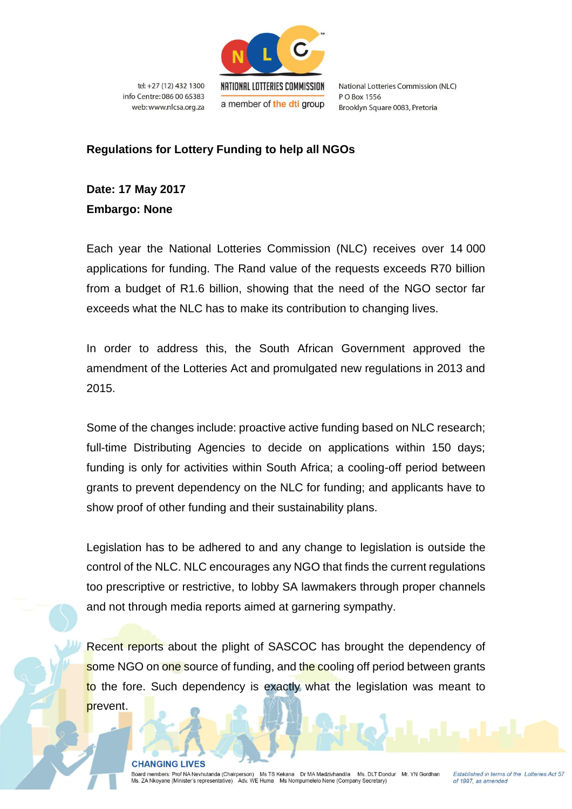

tel: +27 (12) 432 1300 info Centre: 086 00 65383 web: www.nlcsa.org.za National Lotteries Commission (NLC) PO Box 1556 Brooklyn Square 0083, Pretoria

## **Regulations for Lottery Funding to help all NGOs**

**Date: 17 May 2017 Embargo: None**

Each year the National Lotteries Commission (NLC) receives over 14 000 applications for funding. The Rand value of the requests exceeds R70 billion from a budget of R1.6 billion, showing that the need of the NGO sector far exceeds what the NLC has to make its contribution to changing lives.

In order to address this, the South African Government approved the amendment of the Lotteries Act and promulgated new regulations in 2013 and 2015.

Some of the changes include: proactive active funding based on NLC research; full-time Distributing Agencies to decide on applications within 150 days; funding is only for activities within South Africa; a cooling-off period between grants to prevent dependency on the NLC for funding; and applicants have to show proof of other funding and their sustainability plans.

Legislation has to be adhered to and any change to legislation is outside the control of the NLC. NLC encourages any NGO that finds the current regulations too prescriptive or restrictive, to lobby SA lawmakers through proper channels and not through media reports aimed at garnering sympathy.

Recent reports about the plight of SASCOC has brought the dependency of some NGO on one source of funding, and the cooling off period between grants to the fore. Such dependency is exactly what the legislation was meant to prevent.

**CHANGING LIVES**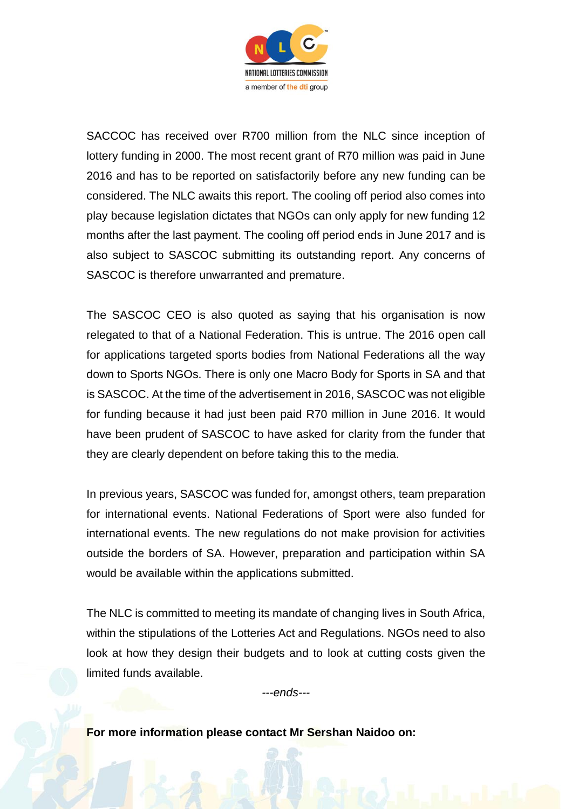

SACCOC has received over R700 million from the NLC since inception of lottery funding in 2000. The most recent grant of R70 million was paid in June 2016 and has to be reported on satisfactorily before any new funding can be considered. The NLC awaits this report. The cooling off period also comes into play because legislation dictates that NGOs can only apply for new funding 12 months after the last payment. The cooling off period ends in June 2017 and is also subject to SASCOC submitting its outstanding report. Any concerns of SASCOC is therefore unwarranted and premature.

The SASCOC CEO is also quoted as saying that his organisation is now relegated to that of a National Federation. This is untrue. The 2016 open call for applications targeted sports bodies from National Federations all the way down to Sports NGOs. There is only one Macro Body for Sports in SA and that is SASCOC. At the time of the advertisement in 2016, SASCOC was not eligible for funding because it had just been paid R70 million in June 2016. It would have been prudent of SASCOC to have asked for clarity from the funder that they are clearly dependent on before taking this to the media.

In previous years, SASCOC was funded for, amongst others, team preparation for international events. National Federations of Sport were also funded for international events. The new regulations do not make provision for activities outside the borders of SA. However, preparation and participation within SA would be available within the applications submitted.

The NLC is committed to meeting its mandate of changing lives in South Africa, within the stipulations of the Lotteries Act and Regulations. NGOs need to also look at how they design their budgets and to look at cutting costs given the limited funds available.

*---ends---*

**For more information please contact Mr Sershan Naidoo on:**